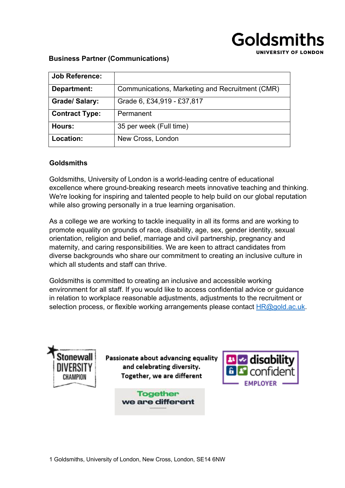# Goldsmiths UNIVERSITY OF LONDON

#### **Business Partner (Communications)**

| <b>Job Reference:</b> |                                                 |
|-----------------------|-------------------------------------------------|
| Department:           | Communications, Marketing and Recruitment (CMR) |
| <b>Grade/ Salary:</b> | Grade 6, £34,919 - £37,817                      |
| <b>Contract Type:</b> | Permanent                                       |
| Hours:                | 35 per week (Full time)                         |
| <b>Location:</b>      | New Cross, London                               |

#### **Goldsmiths**

Goldsmiths, University of London is a world-leading centre of educational excellence where ground-breaking research meets innovative teaching and thinking. We're looking for inspiring and talented people to help build on our global reputation while also growing personally in a true learning organisation.

As a college we are working to tackle inequality in all its forms and are working to promote equality on grounds of race, disability, age, sex, gender identity, sexual orientation, religion and belief, marriage and civil partnership, pregnancy and maternity, and caring responsibilities. We are keen to attract candidates from diverse backgrounds who share our commitment to creating an inclusive culture in which all students and staff can thrive.

Goldsmiths is committed to creating an inclusive and accessible working environment for all staff. If you would like to access confidential advice or guidance in relation to workplace reasonable adjustments, adjustments to the recruitment or selection process, or flexible working arrangements please contact  $HR@gold.ac.uk$ .



Passionate about advancing equality and celebrating diversity. Together, we are different

> **Together** we are different

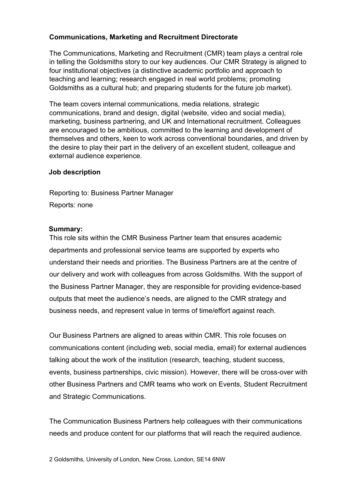## **Communications, Marketing and Recruitment Directorate**

The Communications, Marketing and Recruitment (CMR) team plays a central role in telling the Goldsmiths story to our key audiences. Our CMR Strategy is aligned to four institutional objectives (a distinctive academic portfolio and approach to teaching and learning; research engaged in real world problems; promoting Goldsmiths as a cultural hub; and preparing students for the future job market).

The team covers internal communications, media relations, strategic communications, brand and design, digital (website, video and social media), marketing, business partnering, and UK and International recruitment. Colleagues are encouraged to be ambitious, committed to the learning and development of themselves and others, keen to work across conventional boundaries, and driven by the desire to play their part in the delivery of an excellent student, colleague and external audience experience.

#### **Job description**

Reporting to: Business Partner Manager Reports: none

#### **Summary:**

This role sits within the CMR Business Partner team that ensures academic departments and professional service teams are supported by experts who understand their needs and priorities. The Business Partners are at the centre of our delivery and work with colleagues from across Goldsmiths. With the support of the Business Partner Manager, they are responsible for providing evidence-based outputs that meet the audience's needs, are aligned to the CMR strategy and business needs, and represent value in terms of time/effort against reach.

Our Business Partners are aligned to areas within CMR. This role focuses on communications content (including web, social media, email) for external audiences talking about the work of the institution (research, teaching, student success, events, business partnerships, civic mission). However, there will be cross-over with other Business Partners and CMR teams who work on Events, Student Recruitment and Strategic Communications.

The Communication Business Partners help colleagues with their communications needs and produce content for our platforms that will reach the required audience.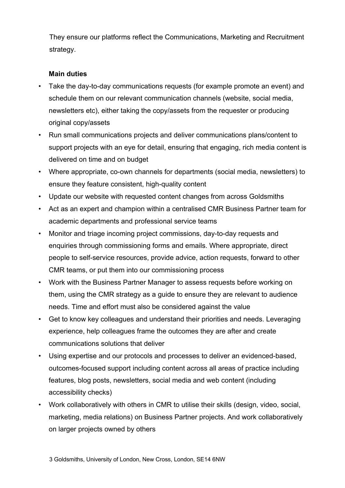They ensure our platforms reflect the Communications, Marketing and Recruitment strategy.

## **Main duties**

- Take the day-to-day communications requests (for example promote an event) and schedule them on our relevant communication channels (website, social media, newsletters etc), either taking the copy/assets from the requester or producing original copy/assets
- Run small communications projects and deliver communications plans/content to support projects with an eye for detail, ensuring that engaging, rich media content is delivered on time and on budget
- Where appropriate, co-own channels for departments (social media, newsletters) to ensure they feature consistent, high-quality content
- Update our website with requested content changes from across Goldsmiths
- Act as an expert and champion within a centralised CMR Business Partner team for academic departments and professional service teams
- Monitor and triage incoming project commissions, day-to-day requests and enquiries through commissioning forms and emails. Where appropriate, direct people to self-service resources, provide advice, action requests, forward to other CMR teams, or put them into our commissioning process
- Work with the Business Partner Manager to assess requests before working on them, using the CMR strategy as a guide to ensure they are relevant to audience needs. Time and effort must also be considered against the value
- Get to know key colleagues and understand their priorities and needs. Leveraging experience, help colleagues frame the outcomes they are after and create communications solutions that deliver
- Using expertise and our protocols and processes to deliver an evidenced-based, outcomes-focused support including content across all areas of practice including features, blog posts, newsletters, social media and web content (including accessibility checks)
- Work collaboratively with others in CMR to utilise their skills (design, video, social, marketing, media relations) on Business Partner projects. And work collaboratively on larger projects owned by others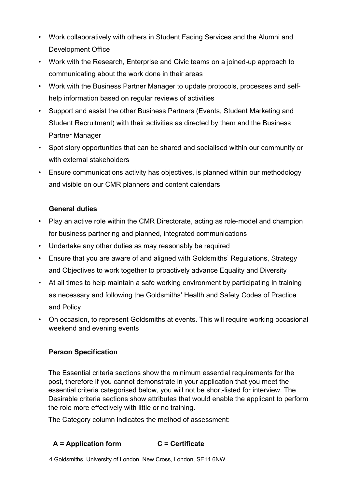- Work collaboratively with others in Student Facing Services and the Alumni and Development Office
- Work with the Research, Enterprise and Civic teams on a joined-up approach to communicating about the work done in their areas
- Work with the Business Partner Manager to update protocols, processes and selfhelp information based on regular reviews of activities
- Support and assist the other Business Partners (Events, Student Marketing and Student Recruitment) with their activities as directed by them and the Business Partner Manager
- Spot story opportunities that can be shared and socialised within our community or with external stakeholders
- Ensure communications activity has objectives, is planned within our methodology and visible on our CMR planners and content calendars

## **General duties**

- Play an active role within the CMR Directorate, acting as role-model and champion for business partnering and planned, integrated communications
- Undertake any other duties as may reasonably be required
- Ensure that you are aware of and aligned with Goldsmiths' Regulations, Strategy and Objectives to work together to proactively advance Equality and Diversity
- At all times to help maintain a safe working environment by participating in training as necessary and following the Goldsmiths' Health and Safety Codes of Practice and Policy
- On occasion, to represent Goldsmiths at events. This will require working occasional weekend and evening events

## **Person Specification**

The Essential criteria sections show the minimum essential requirements for the post, therefore if you cannot demonstrate in your application that you meet the essential criteria categorised below, you will not be short-listed for interview. The Desirable criteria sections show attributes that would enable the applicant to perform the role more effectively with little or no training.

The Category column indicates the method of assessment:

## **A = Application form C = Certificate**

4 Goldsmiths, University of London, New Cross, London, SE14 6NW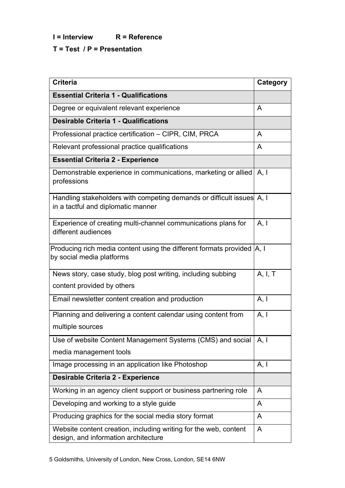**I = Interview R = Reference**

## **T = Test / P = Presentation**

| <b>Criteria</b>                                                                                             | Category |  |
|-------------------------------------------------------------------------------------------------------------|----------|--|
| <b>Essential Criteria 1 - Qualifications</b>                                                                |          |  |
| Degree or equivalent relevant experience                                                                    | A        |  |
| <b>Desirable Criteria 1 - Qualifications</b>                                                                |          |  |
| Professional practice certification - CIPR, CIM, PRCA                                                       | A        |  |
| Relevant professional practice qualifications                                                               | A        |  |
| <b>Essential Criteria 2 - Experience</b>                                                                    |          |  |
| Demonstrable experience in communications, marketing or allied<br>professions                               | A, I     |  |
| Handling stakeholders with competing demands or difficult issues A, I<br>in a tactful and diplomatic manner |          |  |
| Experience of creating multi-channel communications plans for<br>different audiences                        | A, I     |  |
| Producing rich media content using the different formats provided   A, I<br>by social media platforms       |          |  |
| News story, case study, blog post writing, including subbing                                                | A, I, T  |  |
| content provided by others                                                                                  |          |  |
| Email newsletter content creation and production                                                            | A, I     |  |
| Planning and delivering a content calendar using content from                                               | A, I     |  |
| multiple sources                                                                                            |          |  |
| Use of website Content Management Systems (CMS) and social                                                  | A, I     |  |
| media management tools                                                                                      |          |  |
| Image processing in an application like Photoshop                                                           | A, I     |  |
| <b>Desirable Criteria 2 - Experience</b>                                                                    |          |  |
| Working in an agency client support or business partnering role                                             | A        |  |
| Developing and working to a style guide                                                                     | A        |  |
| Producing graphics for the social media story format                                                        | A        |  |
| Website content creation, including writing for the web, content<br>design, and information architecture    | A        |  |

5 Goldsmiths, University of London, New Cross, London, SE14 6NW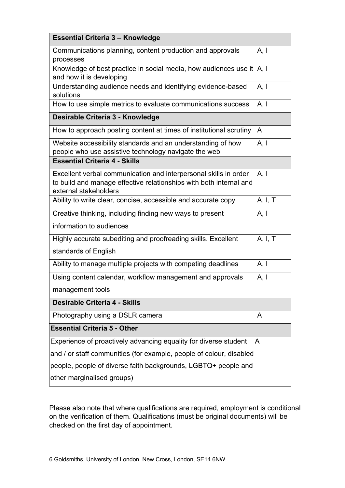| <b>Essential Criteria 3 - Knowledge</b>                                                                                                                         |         |  |
|-----------------------------------------------------------------------------------------------------------------------------------------------------------------|---------|--|
| Communications planning, content production and approvals<br>processes                                                                                          | A, I    |  |
| Knowledge of best practice in social media, how audiences use it<br>and how it is developing                                                                    |         |  |
| Understanding audience needs and identifying evidence-based<br>solutions                                                                                        |         |  |
| How to use simple metrics to evaluate communications success                                                                                                    | A, I    |  |
| Desirable Criteria 3 - Knowledge                                                                                                                                |         |  |
| How to approach posting content at times of institutional scrutiny                                                                                              | A       |  |
| Website accessibility standards and an understanding of how<br>people who use assistive technology navigate the web                                             | A, I    |  |
| <b>Essential Criteria 4 - Skills</b>                                                                                                                            |         |  |
| Excellent verbal communication and interpersonal skills in order<br>to build and manage effective relationships with both internal and<br>external stakeholders | A, I    |  |
| Ability to write clear, concise, accessible and accurate copy                                                                                                   | A, I, T |  |
| Creative thinking, including finding new ways to present                                                                                                        | A, I    |  |
| information to audiences                                                                                                                                        |         |  |
| Highly accurate subediting and proofreading skills. Excellent                                                                                                   | A, I, T |  |
| standards of English                                                                                                                                            |         |  |
| Ability to manage multiple projects with competing deadlines                                                                                                    | A, I    |  |
| Using content calendar, workflow management and approvals                                                                                                       | A, I    |  |
| management tools                                                                                                                                                |         |  |
| <b>Desirable Criteria 4 - Skills</b>                                                                                                                            |         |  |
| Photography using a DSLR camera                                                                                                                                 | A       |  |
| <b>Essential Criteria 5 - Other</b>                                                                                                                             |         |  |
| Experience of proactively advancing equality for diverse student                                                                                                | A       |  |
| and / or staff communities (for example, people of colour, disabled                                                                                             |         |  |
| people, people of diverse faith backgrounds, LGBTQ+ people and                                                                                                  |         |  |
| other marginalised groups)                                                                                                                                      |         |  |

Please also note that where qualifications are required, employment is conditional on the verification of them. Qualifications (must be original documents) will be checked on the first day of appointment.